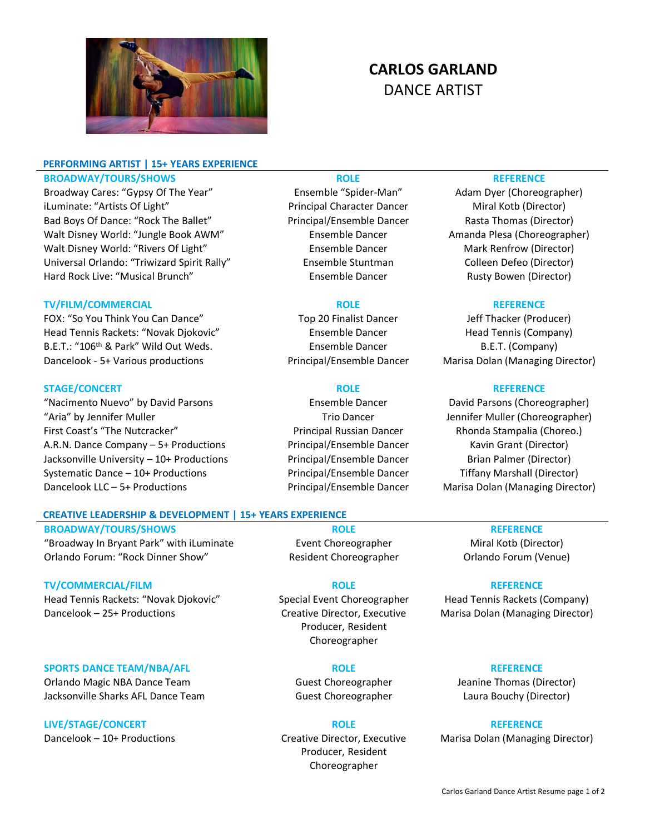

# **PERFORMING ARTIST | 15+ YEARS EXPERIENCE BROADWAY/TOURS/SHOWS ROLE REFERENCE**

Broadway Cares: "Gypsy Of The Year" Ensemble "Spider-Man" Adam Dyer (Choreographer) iLuminate: "Artists Of Light" Principal Character Dancer Miral Kotb (Director) Bad Boys Of Dance: "Rock The Ballet" Principal/Ensemble Dancer Rasta Thomas (Director) Walt Disney World: "Jungle Book AWM" Ensemble Dancer Amanda Plesa (Choreographer) Walt Disney World: "Rivers Of Light" Ensemble Dancer Mark Renfrow (Director) Universal Orlando: "Triwizard Spirit Rally" Ensemble Stuntman Colleen Defeo (Director) Hard Rock Live: "Musical Brunch" Ensemble Dancer Rusty Bowen (Director) Rusty Bowen (Director)

## **TV/FILM/COMMERCIAL ROLE REFERENCE**

FOX: "So You Think You Can Dance" Top 20 Finalist Dancer Jeff Thacker (Producer) Head Tennis Rackets: "Novak Djokovic" Ensemble Dancer Fead Tennis (Company) B.E.T.: "106<sup>th</sup> & Park" Wild Out Weds. Ensemble Dancer B.E.T. (Company) Dancelook - 5+ Various productions Principal/Ensemble Dancer Marisa Dolan (Managing Director)

### **STAGE/CONCERT ROLE REFERENCE**

"Nacimento Nuevo" by David Parsons Ensemble Dancer David Parsons (Choreographer) "Aria" by Jennifer Muller Trio Dancer Jennifer Muller (Choreographer) First Coast's "The Nutcracker" Principal Russian Dancer Rhonda Stampalia (Choreo.) A.R.N. Dance Company – 5+ Productions Principal/Ensemble Dancer Kavin Grant (Director) Jacksonville University – 10+ Productions Principal/Ensemble Dancer Brian Palmer (Director) Systematic Dance – 10+ Productions Principal/Ensemble Dancer Tiffany Marshall (Director) Dancelook LLC – 5+ Productions **Principal/Ensemble Dancer** Marisa Dolan (Managing Director)

# **CREATIVE LEADERSHIP & DEVELOPMENT | 15+ YEARS EXPERIENCE**

**BROADWAY/TOURS/SHOWS ROLE REFERENCE** "Broadway In Bryant Park" with iLuminate **Event Choreographer** Miral Kotb (Director) Orlando Forum: "Rock Dinner Show" Resident Choreographer Orlando Forum (Venue)

### **TV/COMMERCIAL/FILM ROLE REFERENCE**

Head Tennis Rackets: "Novak Djokovic" Special Event Choreographer Head Tennis Rackets (Company) Dancelook – 25+ Productions Creative Director, Executive

### **SPORTS DANCE TEAM/NBA/AFL ROLE REFERENCE**

Orlando Magic NBA Dance Team Guest Choreographer Jeanine Thomas (Director) Jacksonville Sharks AFL Dance Team Guest Choreographer Laura Bouchy (Director)

## **LIVE/STAGE/CONCERT ROLE REFERENCE**

Dancelook – 10+ Productions Creative Director, Executive

Producer, Resident Choreographer

Producer, Resident Choreographer

**CARLOS GARLAND** DANCE ARTIST

Marisa Dolan (Managing Director)

Marisa Dolan (Managing Director)